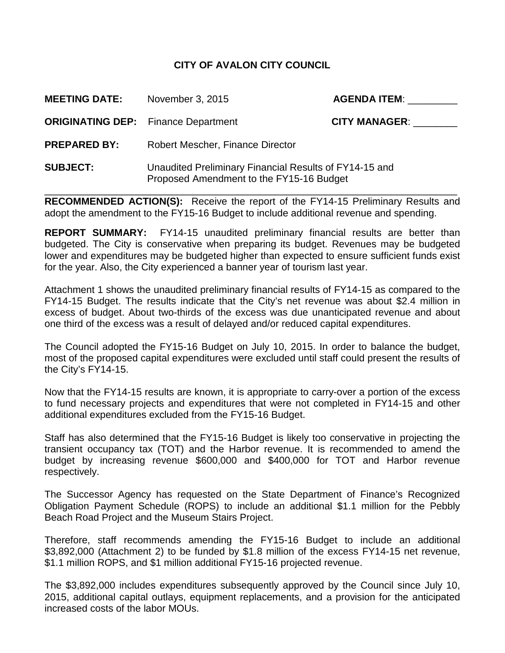# **CITY OF AVALON CITY COUNCIL**

| <b>MEETING DATE:</b>                       | November 3, 2015                                                                                   | <b>AGENDA ITEM:</b>  |
|--------------------------------------------|----------------------------------------------------------------------------------------------------|----------------------|
| <b>ORIGINATING DEP:</b> Finance Department |                                                                                                    | <b>CITY MANAGER:</b> |
| <b>PREPARED BY:</b>                        | <b>Robert Mescher, Finance Director</b>                                                            |                      |
| <b>SUBJECT:</b>                            | Unaudited Preliminary Financial Results of FY14-15 and<br>Proposed Amendment to the FY15-16 Budget |                      |

**RECOMMENDED ACTION(S):** Receive the report of the FY14-15 Preliminary Results and adopt the amendment to the FY15-16 Budget to include additional revenue and spending.

**REPORT SUMMARY:** FY14-15 unaudited preliminary financial results are better than budgeted. The City is conservative when preparing its budget. Revenues may be budgeted lower and expenditures may be budgeted higher than expected to ensure sufficient funds exist for the year. Also, the City experienced a banner year of tourism last year.

Attachment 1 shows the unaudited preliminary financial results of FY14-15 as compared to the FY14-15 Budget. The results indicate that the City's net revenue was about \$2.4 million in excess of budget. About two-thirds of the excess was due unanticipated revenue and about one third of the excess was a result of delayed and/or reduced capital expenditures.

The Council adopted the FY15-16 Budget on July 10, 2015. In order to balance the budget, most of the proposed capital expenditures were excluded until staff could present the results of the City's FY14-15.

Now that the FY14-15 results are known, it is appropriate to carry-over a portion of the excess to fund necessary projects and expenditures that were not completed in FY14-15 and other additional expenditures excluded from the FY15-16 Budget.

Staff has also determined that the FY15-16 Budget is likely too conservative in projecting the transient occupancy tax (TOT) and the Harbor revenue. It is recommended to amend the budget by increasing revenue \$600,000 and \$400,000 for TOT and Harbor revenue respectively.

The Successor Agency has requested on the State Department of Finance's Recognized Obligation Payment Schedule (ROPS) to include an additional \$1.1 million for the Pebbly Beach Road Project and the Museum Stairs Project.

Therefore, staff recommends amending the FY15-16 Budget to include an additional \$3,892,000 (Attachment 2) to be funded by \$1.8 million of the excess FY14-15 net revenue, \$1.1 million ROPS, and \$1 million additional FY15-16 projected revenue.

The \$3,892,000 includes expenditures subsequently approved by the Council since July 10, 2015, additional capital outlays, equipment replacements, and a provision for the anticipated increased costs of the labor MOUs.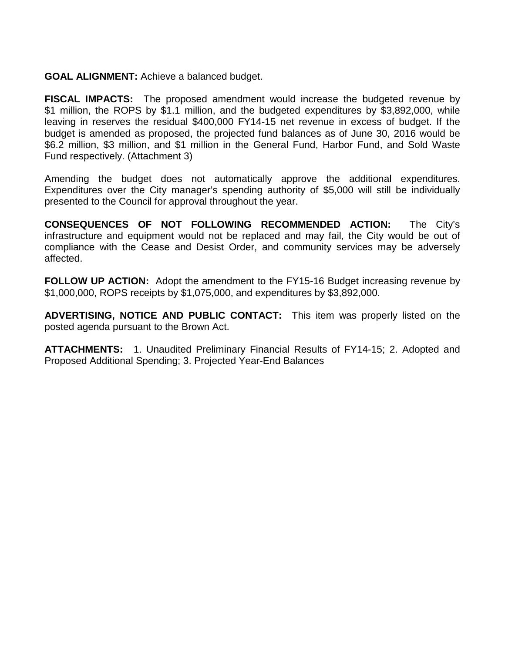## **GOAL ALIGNMENT:** Achieve a balanced budget.

**FISCAL IMPACTS:** The proposed amendment would increase the budgeted revenue by \$1 million, the ROPS by \$1.1 million, and the budgeted expenditures by \$3,892,000, while leaving in reserves the residual \$400,000 FY14-15 net revenue in excess of budget. If the budget is amended as proposed, the projected fund balances as of June 30, 2016 would be \$6.2 million, \$3 million, and \$1 million in the General Fund, Harbor Fund, and Sold Waste Fund respectively. (Attachment 3)

Amending the budget does not automatically approve the additional expenditures. Expenditures over the City manager's spending authority of \$5,000 will still be individually presented to the Council for approval throughout the year.

**CONSEQUENCES OF NOT FOLLOWING RECOMMENDED ACTION:** The City's infrastructure and equipment would not be replaced and may fail, the City would be out of compliance with the Cease and Desist Order, and community services may be adversely affected.

**FOLLOW UP ACTION:** Adopt the amendment to the FY15-16 Budget increasing revenue by \$1,000,000, ROPS receipts by \$1,075,000, and expenditures by \$3,892,000.

**ADVERTISING, NOTICE AND PUBLIC CONTACT:** This item was properly listed on the posted agenda pursuant to the Brown Act.

**ATTACHMENTS:** 1. Unaudited Preliminary Financial Results of FY14-15; 2. Adopted and Proposed Additional Spending; 3. Projected Year-End Balances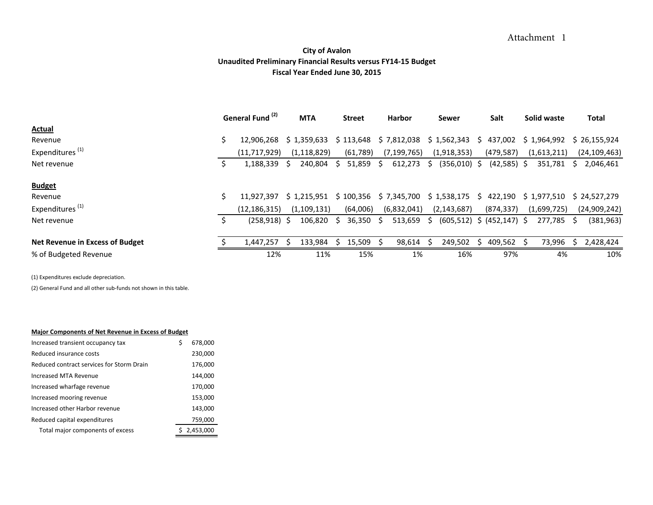#### Attachment 1

### **City of Avalon Unaudited Preliminary Financial Results versus FY14-15 Budget Fiscal Year Ended June 30, 2015**

|     |            |                                                                            | <b>MTA</b>                    |                                         |                             |                         | <b>Harbor</b>         |                                        | Sewer |                                                                                 | Salt           |         |                                                  |                                                                              | <b>Total</b>                                                                        |
|-----|------------|----------------------------------------------------------------------------|-------------------------------|-----------------------------------------|-----------------------------|-------------------------|-----------------------|----------------------------------------|-------|---------------------------------------------------------------------------------|----------------|---------|--------------------------------------------------|------------------------------------------------------------------------------|-------------------------------------------------------------------------------------|
|     |            |                                                                            |                               |                                         |                             |                         |                       |                                        |       |                                                                                 |                |         |                                                  |                                                                              |                                                                                     |
| \$  | 12.906.268 |                                                                            |                               |                                         |                             |                         |                       |                                        |       |                                                                                 |                |         |                                                  |                                                                              | \$26,155,924                                                                        |
|     |            |                                                                            |                               |                                         | (61, 789)                   |                         |                       |                                        |       |                                                                                 | (479, 587)     |         |                                                  |                                                                              | (24, 109, 463)                                                                      |
| Ś.  | 1,188,339  |                                                                            |                               |                                         | 51,859                      | S.                      | 612,273               | S.                                     |       |                                                                                 |                |         | 351,781                                          |                                                                              | 2,046,461                                                                           |
|     |            |                                                                            |                               |                                         |                             |                         |                       |                                        |       |                                                                                 |                |         |                                                  |                                                                              |                                                                                     |
| \$  |            |                                                                            |                               |                                         |                             |                         |                       |                                        |       |                                                                                 |                |         |                                                  |                                                                              |                                                                                     |
|     |            |                                                                            |                               |                                         | (64,006)                    |                         |                       |                                        |       |                                                                                 | (874, 337)     |         |                                                  |                                                                              | (24,909,242)                                                                        |
| \$. |            |                                                                            | 106,820                       |                                         | 36,350                      | <sub>S</sub>            | 513,659               | S                                      |       |                                                                                 |                |         |                                                  |                                                                              | (381,963)                                                                           |
|     |            |                                                                            |                               |                                         |                             |                         |                       | -S                                     |       |                                                                                 |                |         |                                                  |                                                                              | 2,428,424                                                                           |
|     | 12%        |                                                                            | 11%                           |                                         | 15%                         |                         | 1%                    |                                        | 16%   |                                                                                 | 97%            |         | 4%                                               |                                                                              | 10%                                                                                 |
|     |            | General Fund <sup>(2)</sup><br>(11,717,929)<br>(12, 186, 315)<br>1,447,257 | 11.927.397<br>$(258, 918)$ \$ | (1, 118, 829)<br>(1,109,131)<br>133,984 | \$1,359,633<br>$240,804$ \$ | <b>Street</b><br>15,509 | \$1,215,951 \$100,356 | (7, 199, 765)<br>(6,832,041)<br>98,614 |       | $$113,648$ $$7,812,038$ $$1,562,343$<br>(1,918,353)<br>(2, 143, 687)<br>249,502 | $(356,010)$ \$ | 409,562 | $(42,585)$ \$<br>$(605, 512)$ \$ $(452, 147)$ \$ | Solid waste<br>\$437,002 \$1,964,992<br>(1,613,211)<br>(1,699,725)<br>73,996 | -S<br>$$7,345,700$ $$1,538,175$ $$422,190$ $$1,977,510$ $$24,527,279$<br>277,785 \$ |

(1) Expenditures exclude depreciation.

(2) General Fund and all other sub-funds not shown in this table.

| <b>Major Components of Net Revenue in Excess of Budget</b> |    |           |  |  |  |  |  |  |  |
|------------------------------------------------------------|----|-----------|--|--|--|--|--|--|--|
| Increased transient occupancy tax                          | Ś  | 678,000   |  |  |  |  |  |  |  |
| Reduced insurance costs                                    |    | 230,000   |  |  |  |  |  |  |  |
| Reduced contract services for Storm Drain                  |    | 176,000   |  |  |  |  |  |  |  |
| Increased MTA Revenue                                      |    | 144.000   |  |  |  |  |  |  |  |
| Increased wharfage revenue                                 |    | 170,000   |  |  |  |  |  |  |  |
| Increased mooring revenue                                  |    | 153,000   |  |  |  |  |  |  |  |
| Increased other Harbor revenue                             |    | 143,000   |  |  |  |  |  |  |  |
| Reduced capital expenditures                               |    | 759,000   |  |  |  |  |  |  |  |
| Total major components of excess                           | S. | 2,453,000 |  |  |  |  |  |  |  |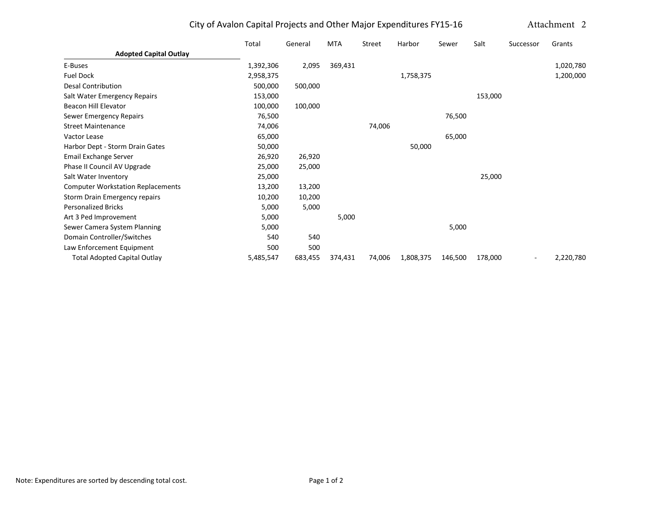#### City of Avalon Capital Projects and Other Major Expenditures FY15-16 Attachment 2

|                                          | Total     | General | <b>MTA</b> | <b>Street</b> | Harbor    | Sewer   | Salt    | Successor | Grants    |
|------------------------------------------|-----------|---------|------------|---------------|-----------|---------|---------|-----------|-----------|
| <b>Adopted Capital Outlay</b>            |           |         |            |               |           |         |         |           |           |
| E-Buses                                  | 1,392,306 | 2,095   | 369,431    |               |           |         |         |           | 1,020,780 |
| <b>Fuel Dock</b>                         | 2,958,375 |         |            |               | 1,758,375 |         |         |           | 1,200,000 |
| Desal Contribution                       | 500,000   | 500,000 |            |               |           |         |         |           |           |
| Salt Water Emergency Repairs             | 153,000   |         |            |               |           |         | 153,000 |           |           |
| <b>Beacon Hill Elevator</b>              | 100,000   | 100,000 |            |               |           |         |         |           |           |
| Sewer Emergency Repairs                  | 76,500    |         |            |               |           | 76,500  |         |           |           |
| <b>Street Maintenance</b>                | 74,006    |         |            | 74,006        |           |         |         |           |           |
| Vactor Lease                             | 65,000    |         |            |               |           | 65,000  |         |           |           |
| Harbor Dept - Storm Drain Gates          | 50,000    |         |            |               | 50,000    |         |         |           |           |
| Email Exchange Server                    | 26,920    | 26,920  |            |               |           |         |         |           |           |
| Phase II Council AV Upgrade              | 25,000    | 25,000  |            |               |           |         |         |           |           |
| Salt Water Inventory                     | 25,000    |         |            |               |           |         | 25,000  |           |           |
| <b>Computer Workstation Replacements</b> | 13,200    | 13,200  |            |               |           |         |         |           |           |
| Storm Drain Emergency repairs            | 10,200    | 10,200  |            |               |           |         |         |           |           |
| <b>Personalized Bricks</b>               | 5,000     | 5,000   |            |               |           |         |         |           |           |
| Art 3 Ped Improvement                    | 5,000     |         | 5,000      |               |           |         |         |           |           |
| Sewer Camera System Planning             | 5,000     |         |            |               |           | 5,000   |         |           |           |
| Domain Controller/Switches               | 540       | 540     |            |               |           |         |         |           |           |
| Law Enforcement Equipment                | 500       | 500     |            |               |           |         |         |           |           |
| <b>Total Adopted Capital Outlay</b>      | 5,485,547 | 683,455 | 374,431    | 74,006        | 1,808,375 | 146,500 | 178,000 |           | 2,220,780 |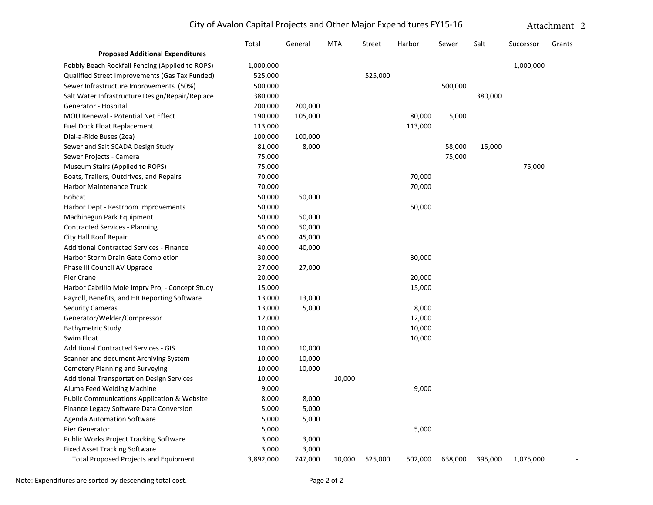Attachment 2

|                                                        | Total     | General | MTA    | Street  | Harbor  | Sewer   | Salt    | Successor | Grants |
|--------------------------------------------------------|-----------|---------|--------|---------|---------|---------|---------|-----------|--------|
| <b>Proposed Additional Expenditures</b>                |           |         |        |         |         |         |         |           |        |
| Pebbly Beach Rockfall Fencing (Applied to ROPS)        | 1,000,000 |         |        |         |         |         |         | 1,000,000 |        |
| Qualified Street Improvements (Gas Tax Funded)         | 525,000   |         |        | 525,000 |         |         |         |           |        |
| Sewer Infrastructure Improvements (50%)                | 500,000   |         |        |         |         | 500,000 |         |           |        |
| Salt Water Infrastructure Design/Repair/Replace        | 380,000   |         |        |         |         |         | 380,000 |           |        |
| Generator - Hospital                                   | 200,000   | 200,000 |        |         |         |         |         |           |        |
| MOU Renewal - Potential Net Effect                     | 190,000   | 105,000 |        |         | 80,000  | 5,000   |         |           |        |
| <b>Fuel Dock Float Replacement</b>                     | 113,000   |         |        |         | 113,000 |         |         |           |        |
| Dial-a-Ride Buses (2ea)                                | 100,000   | 100,000 |        |         |         |         |         |           |        |
| Sewer and Salt SCADA Design Study                      | 81,000    | 8,000   |        |         |         | 58,000  | 15,000  |           |        |
| Sewer Projects - Camera                                | 75,000    |         |        |         |         | 75,000  |         |           |        |
| Museum Stairs (Applied to ROPS)                        | 75,000    |         |        |         |         |         |         | 75,000    |        |
| Boats, Trailers, Outdrives, and Repairs                | 70,000    |         |        |         | 70,000  |         |         |           |        |
| <b>Harbor Maintenance Truck</b>                        | 70,000    |         |        |         | 70,000  |         |         |           |        |
| <b>Bobcat</b>                                          | 50,000    | 50,000  |        |         |         |         |         |           |        |
| Harbor Dept - Restroom Improvements                    | 50,000    |         |        |         | 50,000  |         |         |           |        |
| Machinegun Park Equipment                              | 50,000    | 50,000  |        |         |         |         |         |           |        |
| <b>Contracted Services - Planning</b>                  | 50,000    | 50,000  |        |         |         |         |         |           |        |
| City Hall Roof Repair                                  | 45,000    | 45,000  |        |         |         |         |         |           |        |
| <b>Additional Contracted Services - Finance</b>        | 40,000    | 40,000  |        |         |         |         |         |           |        |
| Harbor Storm Drain Gate Completion                     | 30,000    |         |        |         | 30,000  |         |         |           |        |
| Phase III Council AV Upgrade                           | 27,000    | 27,000  |        |         |         |         |         |           |        |
| Pier Crane                                             | 20,000    |         |        |         | 20,000  |         |         |           |        |
| Harbor Cabrillo Mole Imprv Proj - Concept Study        | 15,000    |         |        |         | 15,000  |         |         |           |        |
| Payroll, Benefits, and HR Reporting Software           | 13,000    | 13,000  |        |         |         |         |         |           |        |
| <b>Security Cameras</b>                                | 13,000    | 5,000   |        |         | 8,000   |         |         |           |        |
| Generator/Welder/Compressor                            | 12,000    |         |        |         | 12,000  |         |         |           |        |
| Bathymetric Study                                      | 10,000    |         |        |         | 10,000  |         |         |           |        |
| Swim Float                                             | 10,000    |         |        |         | 10,000  |         |         |           |        |
| <b>Additional Contracted Services - GIS</b>            | 10,000    | 10,000  |        |         |         |         |         |           |        |
| Scanner and document Archiving System                  | 10,000    | 10,000  |        |         |         |         |         |           |        |
| Cemetery Planning and Surveying                        | 10,000    | 10,000  |        |         |         |         |         |           |        |
| <b>Additional Transportation Design Services</b>       | 10,000    |         | 10,000 |         |         |         |         |           |        |
| Aluma Feed Welding Machine                             | 9,000     |         |        |         | 9,000   |         |         |           |        |
| <b>Public Communications Application &amp; Website</b> | 8,000     | 8,000   |        |         |         |         |         |           |        |
| Finance Legacy Software Data Conversion                | 5,000     | 5,000   |        |         |         |         |         |           |        |
| <b>Agenda Automation Software</b>                      | 5,000     | 5,000   |        |         |         |         |         |           |        |
| Pier Generator                                         | 5,000     |         |        |         | 5,000   |         |         |           |        |
| <b>Public Works Project Tracking Software</b>          | 3,000     | 3,000   |        |         |         |         |         |           |        |
| <b>Fixed Asset Tracking Software</b>                   | 3,000     | 3,000   |        |         |         |         |         |           |        |
| <b>Total Proposed Projects and Equipment</b>           | 3,892,000 | 747,000 | 10,000 | 525,000 | 502,000 | 638,000 | 395,000 | 1,075,000 |        |